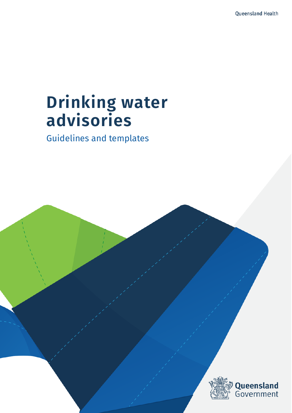# **Drinking water advisories**

Guidelines and templates

Drinking water advisories - Guidelines and templates

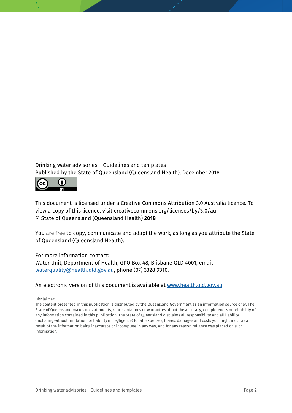### Drinking water advisories – Guidelines and templates Published by the State of Queensland (Queensland Health), December 2018



This document is licensed under a Creative Commons Attribution 3.0 Australia licence. To view a copy of this licence, visit creativecommons.org/licenses/by/3.0/au © State of Queensland (Queensland Health) **2018**

You are free to copy, communicate and adapt the work, as long as you attribute the State of Queensland (Queensland Health).

#### For more information contact:

Water Unit, Department of Health, GPO Box 48, Brisbane QLD 4001, email [waterquality@health.qld.gov.au,](mailto:waterquality@health.qld.gov.au) phone (07) 3328 9310.

#### An electronic version of this document is available at [www.health.qld.gov.au](http://www.health.qld.gov.au/)

Disclaimer:

The content presented in this publication is distributed by the Queensland Government as an information source only. The State of Queensland makes no statements, representations or warranties about the accuracy, completeness or reliability of any information contained in this publication. The State of Queensland disclaims all responsibility and all liability (including without limitation for liability in negligence) for all expenses, losses, damages and costs you might incur as a result of the information being inaccurate or incomplete in any way, and for any reason reliance was placed on such information.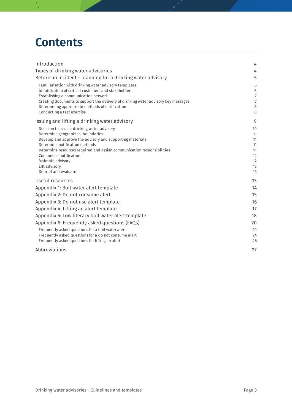## **Contents**

| Introduction                                                                                             | 4              |
|----------------------------------------------------------------------------------------------------------|----------------|
| Types of drinking water advisories                                                                       | 4              |
| Before an incident - planning for a drinking water advisory                                              | 5              |
| Familiarisation with drinking water advisory templates                                                   | 5              |
| Identification of critical customers and stakeholders                                                    | 6              |
| Establishing a communication network                                                                     | $\overline{7}$ |
| Creating documents to support the delivery of drinking water advisory key messages                       | $\overline{7}$ |
| Determining appropriate methods of notification<br>Conducting a test exercise                            | 8<br>8         |
| Issuing and lifting a drinking water advisory                                                            | 9              |
| Decision to issue a drinking water advisory                                                              | 10             |
| Determine geographical boundaries                                                                        | 11             |
| Develop and approve the advisory and supporting materials                                                | 11             |
| Determine notification methods<br>Determine resources required and assign communication responsibilities | 11<br>11       |
| Commence notification                                                                                    | 12             |
| Maintain advisory                                                                                        | 12             |
| Lift advisory                                                                                            | 13             |
| Debrief and evaluate                                                                                     | 13             |
| Useful resources                                                                                         | 13             |
| Appendix 1: Boil water alert template                                                                    | 14             |
| Appendix 2: Do not consume alert                                                                         | 15             |
| Appendix 3: Do not use alert template                                                                    | 16             |
| Appendix 4: Lifting an alert template                                                                    | 17             |
| Appendix 5: Low literacy boil water alert template                                                       | 18             |
| Appendix 6: Frequently asked questions (FAQs)                                                            | 20             |
| Frequently asked questions for a boil water alert                                                        | 20             |
| Frequently asked questions for a do not consume alert                                                    | 24             |
| Frequently asked questions for lifting an alert                                                          | 26             |
| Abbreviations                                                                                            | 27             |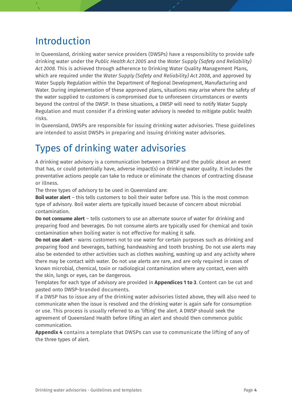### <span id="page-3-0"></span>Introduction

In Queensland, drinking water service providers (DWSPs) have a responsibility to provide safe drinking water under the *Public Health Act 2005* and the *Water Supply (Safety and Reliability) Act 2008*. This is achieved through adherence to Drinking Water Quality Management Plans, which are required under the *Water Supply (Safety and Reliability) Act 2008*, and approved by Water Supply Regulation within the Department of Regional Development, Manufacturing and Water*.* During implementation of these approved plans, situations may arise where the safety of the water supplied to customers is compromised due to unforeseen circumstances or events beyond the control of the DWSP. In these situations, a DWSP will need to notify Water Supply Regulation and must consider if a drinking water advisory is needed to mitigate public health risks.

In Queensland, DWSPs are responsible for issuing drinking water advisories. These guidelines are intended to assist DWSPs in preparing and issuing drinking water advisories.

### <span id="page-3-1"></span>Types of drinking water advisories

A drinking water advisory is a communication between a DWSP and the public about an event that has, or could potentially have, adverse impact(s) on drinking water quality. It includes the preventative actions people can take to reduce or eliminate the chances of contracting disease or illness.

The three types of advisory to be used in Queensland are:

**Boil water alert** – this tells customers to boil their water before use. This is the most common type of advisory. Boil water alerts are typically issued because of concern about microbial contamination.

**Do not consume alert** – tells customers to use an alternate source of water for drinking and preparing food and beverages. Do not consume alerts are typically used for chemical and toxin contamination when boiling water is not effective for making it safe.

**Do not use alert** – warns customers not to use water for certain purposes such as drinking and preparing food and beverages, bathing, handwashing and tooth brushing. Do not use alerts may also be extended to other activities such as clothes washing, washing up and any activity where there may be contact with water. Do not use alerts are rare, and are only required in cases of known microbial, chemical, toxin or radiological contamination where any contact, even with the skin, lungs or eyes, can be dangerous.

Templates for each type of advisory are provided in **Appendices 1 to 3**. Content can be cut and pasted onto DWSP-branded documents.

If a DWSP has to issue any of the drinking water advisories listed above, they will also need to communicate when the issue is resolved and the drinking water is again safe for consumption or use. This process is usually referred to as 'lifting' the alert. A DWSP should seek the agreement of Queensland Health before lifting an alert and should then commence public communication.

**Appendix 4** contains a template that DWSPs can use to communicate the lifting of any of the three types of alert.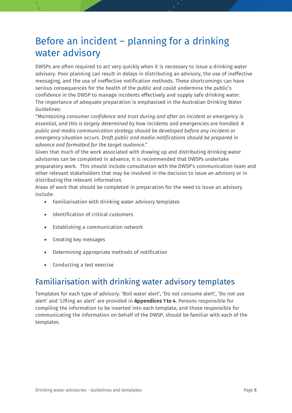### <span id="page-4-0"></span>Before an incident – planning for a drinking water advisory

DWSPs are often required to act very quickly when it is necessary to issue a drinking water advisory. Poor planning can result in delays in distributing an advisory, the use of ineffective messaging, and the use of ineffective notification methods. These shortcomings can have serious consequences for the health of the public and could undermine the public's confidence in the DWSP to manage incidents effectively and supply safe drinking water. The importance of adequate preparation is emphasised in the Australian Drinking Water Guidelines:

"*Maintaining consumer confidence and trust during and after an incident or emergency is essential, and this is largely determined by how incidents and emergencies are handled. A public and media communication strategy should be developed before any incident or emergency situation occurs. Draft public and media notifications should be prepared in advance and formatted for the target audience*."

Given that much of the work associated with drawing up and distributing drinking water advisories can be completed in advance, it is recommended that DWSPs undertake preparatory work. This should include consultation with the DWSP's communication team and other relevant stakeholders that may be involved in the decision to issue an advisory or in distributing the relevant information.

Areas of work that should be completed in preparation for the need to issue an advisory include:

- Familiarisation with drinking water advisory templates
- Identification of critical customers
- Establishing a communication network
- Creating key messages
- Determining appropriate methods of notification
- Conducting a test exercise

### <span id="page-4-1"></span>Familiarisation with drinking water advisory templates

Templates for each type of advisory: 'Boil water alert', 'Do not consume alert', 'Do not use alert' and 'Lifting an alert' are provided in **Appendices 1 to 4**. Persons responsible for compiling the information to be inserted into each template, and those responsible for communicating the information on behalf of the DWSP, should be familiar with each of the templates.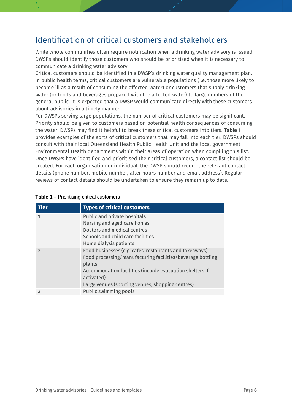### <span id="page-5-0"></span>Identification of critical customers and stakeholders

While whole communities often require notification when a drinking water advisory is issued, DWSPs should identify those customers who should be prioritised when it is necessary to communicate a drinking water advisory.

Critical customers should be identified in a DWSP's drinking water quality management plan. In public health terms, critical customers are vulnerable populations (i.e. those more likely to become ill as a result of consuming the affected water) or customers that supply drinking water (or foods and beverages prepared with the affected water) to large numbers of the general public. It is expected that a DWSP would communicate directly with these customers about advisories in a timely manner.

For DWSPs serving large populations, the number of critical customers may be significant. Priority should be given to customers based on potential health consequences of consuming the water. DWSPs may find it helpful to break these critical customers into tiers. **Table 1** provides examples of the sorts of critical customers that may fall into each tier. DWSPs should consult with their local Queensland Health Public Health Unit and the local government Environmental Health departments within their areas of operation when compiling this list. Once DWSPs have identified and prioritised their critical customers, a contact list should be created. For each organisation or individual, the DWSP should record the relevant contact details (phone number, mobile number, after hours number and email address). Regular reviews of contact details should be undertaken to ensure they remain up to date.

| <b>Tier</b>   | <b>Types of critical customers</b>                                                                                                                                                                                                                            |
|---------------|---------------------------------------------------------------------------------------------------------------------------------------------------------------------------------------------------------------------------------------------------------------|
| 1             | Public and private hospitals<br>Nursing and aged care homes<br>Doctors and medical centres<br>Schools and child care facilities<br>Home dialysis patients                                                                                                     |
| $\mathcal{P}$ | Food businesses (e.g. cafes, restaurants and takeaways)<br>Food processing/manufacturing facilities/beverage bottling<br>plants<br>Accommodation facilities (include evacuation shelters if<br>activated)<br>Large venues (sporting venues, shopping centres) |
| 3             | Public swimming pools                                                                                                                                                                                                                                         |

| <b>Table 1 - Prioritising critical customers</b> |  |  |
|--------------------------------------------------|--|--|
|--------------------------------------------------|--|--|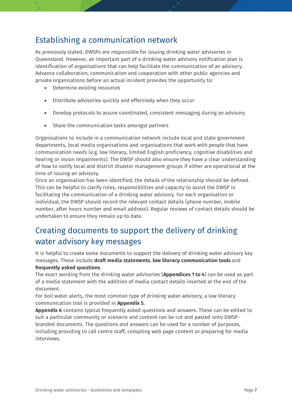### <span id="page-6-0"></span>Establishing a communication network

As previously stated, DWSPs are responsible for issuing drinking water advisories in Queensland. However, an important part of a drinking water advisory notification plan is identification of organisations that can help facilitate the communication of an advisory. Advance collaboration, communication and cooperation with other public agencies and private organisations before an actual incident provides the opportunity to:

- Determine existing resources
- Distribute advisories quickly and effectively when they occur
- Develop protocols to assure coordinated, consistent messaging during an advisory
- Share the communication tasks amongst partners

Organisations to include in a communication network include local and state government departments, local media organisations and organisations that work with people that have communication needs (e.g. low literacy, limited English proficiency, cognitive disabilities and hearing or vision impairments). The DWSP should also ensure they have a clear understanding of how to notify local and district disaster management groups if either are operational at the time of issuing an advisory.

Once an organisation has been identified, the details of the relationship should be defined. This can be helpful to clarify roles, responsibilities and capacity to assist the DWSP in facilitating the communication of a drinking water advisory. For each organisation or individual, the DWSP should record the relevant contact details (phone number, mobile number, after hours number and email address). Regular reviews of contact details should be undertaken to ensure they remain up to date.

### <span id="page-6-1"></span>Creating documents to support the delivery of drinking water advisory key messages

It is helpful to create some documents to support the delivery of drinking water advisory key messages. These include **draft media statements**, **low literacy communication tools** and **frequently asked questions**.

The exact wording from the drinking water advisories (**Appendices 1 to 4**) can be used as part of a media statement with the addition of media contact details inserted at the end of the document.

For boil water alerts, the most common type of drinking water advisory, a low literacy communication tool is provided in **Appendix 5**.

**Appendix 6** contains typical frequently asked questions and answers. These can be edited to suit a particular community or scenario and content can be cut and pasted onto DWSPbranded documents. The questions and answers can be used for a number of purposes, including providing to call centre staff, compiling web page content or preparing for media interviews.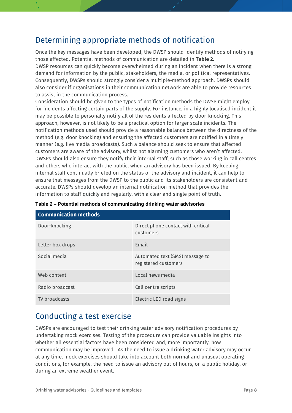### <span id="page-7-0"></span>Determining appropriate methods of notification

Once the key messages have been developed, the DWSP should identify methods of notifying those affected. Potential methods of communication are detailed in **Table 2**. DWSP resources can quickly become overwhelmed during an incident when there is a strong demand for information by the public, stakeholders, the media, or political representatives. Consequently, DWSPs should strongly consider a multiple-method approach. DWSPs should also consider if organisations in their communication network are able to provide resources to assist in the communication process.

Consideration should be given to the types of notification methods the DWSP might employ for incidents affecting certain parts of the supply. For instance, in a highly localised incident it may be possible to personally notify all of the residents affected by door-knocking. This approach, however, is not likely to be a practical option for larger scale incidents. The notification methods used should provide a reasonable balance between the directness of the method (e.g. door knocking) and ensuring the affected customers are notified in a timely manner (e.g. live media broadcasts). Such a balance should seek to ensure that affected customers are aware of the advisory, whilst not alarming customers who aren't affected. DWSPs should also ensure they notify their internal staff, such as those working in call centres and others who interact with the public, when an advisory has been issued. By keeping internal staff continually briefed on the status of the advisory and incident, it can help to ensure that messages from the DWSP to the public and its stakeholders are consistent and accurate. DWSPs should develop an internal notification method that provides the information to staff quickly and regularly, with a clear and single point of truth.

| <b>Communication methods</b> |                                                         |
|------------------------------|---------------------------------------------------------|
| Door-knocking                | Direct phone contact with critical<br>customers         |
| Letter box drops             | Email                                                   |
| Social media                 | Automated text (SMS) message to<br>registered customers |
| Web content                  | Local news media                                        |
| Radio broadcast              | Call centre scripts                                     |
| TV broadcasts                | Electric LED road signs                                 |

|  |  | Table 2 – Potential methods of communicating drinking water advisories |  |  |
|--|--|------------------------------------------------------------------------|--|--|
|  |  |                                                                        |  |  |

### <span id="page-7-1"></span>Conducting a test exercise

DWSPs are encouraged to test their drinking water advisory notification procedures by undertaking mock exercises. Testing of the procedure can provide valuable insights into whether all essential factors have been considered and, more importantly, how communication may be improved. As the need to issue a drinking water advisory may occur at any time, mock exercises should take into account both normal and unusual operating conditions, for example, the need to issue an advisory out of hours, on a public holiday, or during an extreme weather event.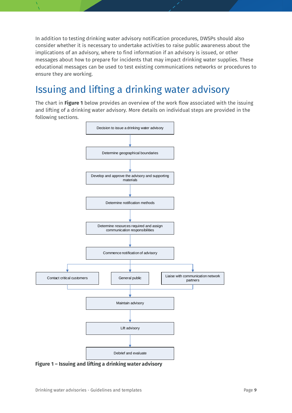In addition to testing drinking water advisory notification procedures, DWSPs should also consider whether it is necessary to undertake activities to raise public awareness about the implications of an advisory, where to find information if an advisory is issued, or other messages about how to prepare for incidents that may impact drinking water supplies. These educational messages can be used to test existing communications networks or procedures to ensure they are working.

### <span id="page-8-0"></span>Issuing and lifting a drinking water advisory

The chart in **Figure 1** below provides an overview of the work flow associated with the issuing and lifting of a drinking water advisory. More details on individual steps are provided in the following sections.



**Figure 1 – Issuing and lifting a drinking water advisory**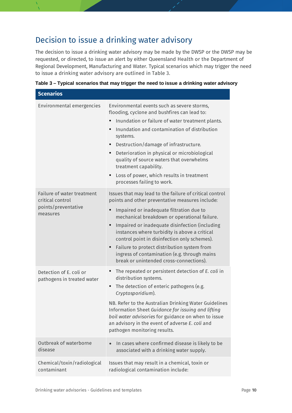### <span id="page-9-0"></span>Decision to issue a drinking water advisory

The decision to issue a drinking water advisory may be made by the DWSP or the DWSP may be requested, or directed, to issue an alert by either Queensland Health or the Department of Regional Development, Manufacturing and Water. Typical scenarios which may trigger the need to issue a drinking water advisory are outlined in Table 3.

| <b>Scenarios</b>                                      |                                                                                                                                                                                                                                                                                                                                                                                                                              |
|-------------------------------------------------------|------------------------------------------------------------------------------------------------------------------------------------------------------------------------------------------------------------------------------------------------------------------------------------------------------------------------------------------------------------------------------------------------------------------------------|
| Environmental emergencies                             | Environmental events such as severe storms,<br>flooding, cyclone and bushfires can lead to:                                                                                                                                                                                                                                                                                                                                  |
|                                                       | Inundation or failure of water treatment plants.<br>$\bullet$                                                                                                                                                                                                                                                                                                                                                                |
|                                                       | Inundation and contamination of distribution<br>systems.                                                                                                                                                                                                                                                                                                                                                                     |
|                                                       | Destruction/damage of infrastructure.<br>$\bullet$                                                                                                                                                                                                                                                                                                                                                                           |
|                                                       | Deterioration in physical or microbiological<br>$\bullet$<br>quality of source waters that overwhelms<br>treatment capability.                                                                                                                                                                                                                                                                                               |
|                                                       | Loss of power, which results in treatment<br>$\bullet$<br>processes failing to work.                                                                                                                                                                                                                                                                                                                                         |
| Failure of water treatment<br>critical control        | Issues that may lead to the failure of critical control<br>points and other preventative measures include:                                                                                                                                                                                                                                                                                                                   |
| points/preventative<br>measures                       | Impaired or inadequate filtration due to<br>$\bullet$<br>mechanical breakdown or operational failure.<br>Impaired or inadequate disinfection (including<br>$\bullet$<br>instances where turbidity is above a critical<br>control point in disinfection only schemes).<br>Failure to protect distribution system from<br>$\bullet$<br>ingress of contamination (e.g. through mains<br>break or unintended cross-connections). |
| Detection of E. coli or<br>pathogens in treated water | The repeated or persistent detection of E. coli in<br>$\bullet$<br>distribution systems.<br>The detection of enteric pathogens (e.g.<br>$\bullet$<br>Cryptosporidium).                                                                                                                                                                                                                                                       |
|                                                       | NB. Refer to the Australian Drinking Water Guidelines<br>Information Sheet Guidance for issuing and lifting<br>boil water advisories for guidance on when to issue<br>an advisory in the event of adverse E. coli and<br>pathogen monitoring results.                                                                                                                                                                        |
| Outbreak of waterborne<br>disease                     | In cases where confirmed disease is likely to be<br>$\bullet$<br>associated with a drinking water supply.                                                                                                                                                                                                                                                                                                                    |
| Chemical/toxin/radiological<br>contaminant            | Issues that may result in a chemical, toxin or<br>radiological contamination include:                                                                                                                                                                                                                                                                                                                                        |

**Table 3 – Typical scenarios that may trigger the need to issue a drinking water advisory**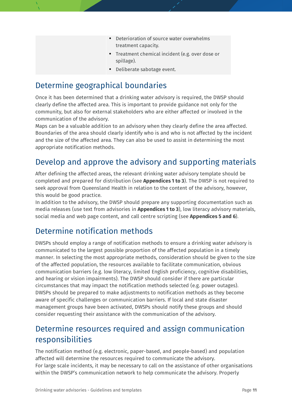- Deterioration of source water overwhelms treatment capacity.
- Treatment chemical incident (e.g. over dose or spillage).
- Deliberate sabotage event.

### <span id="page-10-0"></span>Determine geographical boundaries

Once it has been determined that a drinking water advisory is required, the DWSP should clearly define the affected area. This is important to provide guidance not only for the community, but also for external stakeholders who are either affected or involved in the communication of the advisory.

Maps can be a valuable addition to an advisory when they clearly define the area affected. Boundaries of the area should clearly identify who is and who is not affected by the incident and the size of the affected area. They can also be used to assist in determining the most appropriate notification methods.

### <span id="page-10-1"></span>Develop and approve the advisory and supporting materials

After defining the affected areas, the relevant drinking water advisory template should be completed and prepared for distribution (see **Appendices 1 to 3**). The DWSP is not required to seek approval from Queensland Health in relation to the content of the advisory, however, this would be good practice.

In addition to the advisory, the DWSP should prepare any supporting documentation such as media releases (use text from advisories in **Appendices 1 to 3**), low literacy advisory materials, social media and web page content, and call centre scripting (see **Appendices 5 and 6**).

### <span id="page-10-2"></span>Determine notification methods

DWSPs should employ a range of notification methods to ensure a drinking water advisory is communicated to the largest possible proportion of the affected population in a timely manner. In selecting the most appropriate methods, consideration should be given to the size of the affected population, the resources available to facilitate communication, obvious communication barriers (e.g. low literacy, limited English proficiency, cognitive disabilities, and hearing or vision impairments). The DWSP should consider if there are particular circumstances that may impact the notification methods selected (e.g. power outages). DWSPs should be prepared to make adjustments to notification methods as they become aware of specific challenges or communication barriers. If local and state disaster management groups have been activated, DWSPs should notify these groups and should consider requesting their assistance with the communication of the advisory.

### <span id="page-10-3"></span>Determine resources required and assign communication responsibilities

The notification method (e.g. electronic, paper-based, and people-based) and population affected will determine the resources required to communicate the advisory. For large scale incidents, it may be necessary to call on the assistance of other organisations within the DWSP's communication network to help communicate the advisory. Properly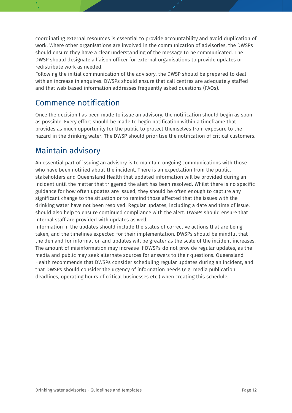coordinating external resources is essential to provide accountability and avoid duplication of work. Where other organisations are involved in the communication of advisories, the DWSPs should ensure they have a clear understanding of the message to be communicated. The DWSP should designate a liaison officer for external organisations to provide updates or redistribute work as needed.

Following the initial communication of the advisory, the DWSP should be prepared to deal with an increase in enquires. DWSPs should ensure that call centres are adequately staffed and that web-based information addresses frequently asked questions (FAQs).

### <span id="page-11-0"></span>Commence notification

Once the decision has been made to issue an advisory, the notification should begin as soon as possible. Every effort should be made to begin notification within a timeframe that provides as much opportunity for the public to protect themselves from exposure to the hazard in the drinking water. The DWSP should prioritise the notification of critical customers.

### <span id="page-11-1"></span>Maintain advisory

An essential part of issuing an advisory is to maintain ongoing communications with those who have been notified about the incident. There is an expectation from the public, stakeholders and Queensland Health that updated information will be provided during an incident until the matter that triggered the alert has been resolved. Whilst there is no specific guidance for how often updates are issued, they should be often enough to capture any significant change to the situation or to remind those affected that the issues with the drinking water have not been resolved. Regular updates, including a date and time of issue, should also help to ensure continued compliance with the alert. DWSPs should ensure that internal staff are provided with updates as well.

Information in the updates should include the status of corrective actions that are being taken, and the timelines expected for their implementation. DWSPs should be mindful that the demand for information and updates will be greater as the scale of the incident increases. The amount of misinformation may increase if DWSPs do not provide regular updates, as the media and public may seek alternate sources for answers to their questions. Queensland Health recommends that DWSPs consider scheduling regular updates during an incident, and that DWSPs should consider the urgency of information needs (e.g. media publication deadlines, operating hours of critical businesses etc.) when creating this schedule.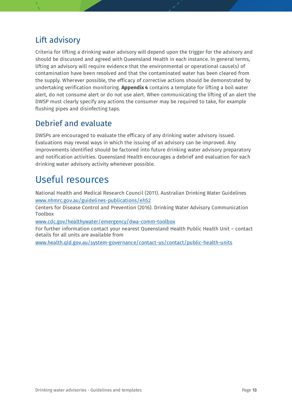### <span id="page-12-0"></span>Lift advisory

Criteria for lifting a drinking water advisory will depend upon the trigger for the advisory and should be discussed and agreed with Queensland Health in each instance. In general terms, lifting an advisory will require evidence that the environmental or operational cause(s) of contamination have been resolved and that the contaminated water has been cleared from the supply. Wherever possible, the efficacy of corrective actions should be demonstrated by undertaking verification monitoring. **Appendix 4** contains a template for lifting a boil water alert, do not consume alert or do not use alert. When communicating the lifting of an alert the DWSP must clearly specify any actions the consumer may be required to take, for example flushing pipes and disinfecting taps.

### <span id="page-12-1"></span>Debrief and evaluate

DWSPs are encouraged to evaluate the efficacy of any drinking water advisory issued. Evaluations may reveal ways in which the issuing of an advisory can be improved. Any improvements identified should be factored into future drinking water advisory preparatory and notification activities. Queensland Health encourages a debrief and evaluation for each drinking water advisory activity whenever possible.

### <span id="page-12-2"></span>Useful resources

National Health and Medical Research Council (2011). Australian Drinking Water Guidelines [www.nhmrc.gov.au/guidelines-publications/eh52](http://www.nhmrc.gov.au/guidelines-publications/eh52)

Centers for Disease Control and Prevention (2016). Drinking Water Advisory Communication Toolbox

[www.cdc.gov/healthywater/emergency/dwa-comm-toolbox](http://www.cdc.gov/healthywater/emergency/dwa-comm-toolbox)

For further information contact your nearest Queensland Health Public Health Unit – contact details for all units are available from

[www.health.qld.gov.au/system-governance/contact-us/contact/public-health-units](http://www.health.qld.gov.au/system-governance/contact-us/contact/public-health-units)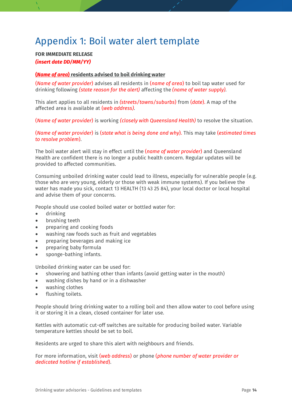### <span id="page-13-0"></span>Appendix 1: Boil water alert template

#### **FOR IMMEDIATE RELEASE** *(insert date DD/MM/YY)*

#### **(***Name of area***) residents advised to boil drinking water**

(*Name of water provider*) advises all residents in (*name of area*) to boil tap water used for drinking following *(state reason for the alert)* affecting the *(name of water supply).*

This alert applies to all residents in *(streets/towns/suburbs*) from (*date*). A map of the affected area is available at (*web address).*

(*Name of water provider*) is working *(closely with Queensland Health)* to resolve the situation.

(*Name of water provider*) is (*state what is being done and why*). This may take (*estimated times to resolve problem*).

The boil water alert will stay in effect until the (*name of water provider*) and Queensland Health are confident there is no longer a public health concern. Regular updates will be provided to affected communities.

Consuming unboiled drinking water could lead to illness, especially for vulnerable people (e.g. those who are very young, elderly or those with weak immune systems). If you believe the water has made you sick, contact 13 HEALTH (13 43 25 84), your local doctor or local hospital and advise them of your concerns.

People should use cooled boiled water or bottled water for:

- drinking
- brushing teeth
- preparing and cooking foods
- washing raw foods such as fruit and vegetables
- preparing beverages and making ice
- preparing baby formula
- sponge-bathing infants.

Unboiled drinking water can be used for:

- showering and bathing other than infants (avoid getting water in the mouth)
- washing dishes by hand or in a dishwasher
- washing clothes
- flushing toilets.

People should bring drinking water to a rolling boil and then allow water to cool before using it or storing it in a clean, closed container for later use.

Kettles with automatic cut-off switches are suitable for producing boiled water. Variable temperature kettles should be set to boil.

Residents are urged to share this alert with neighbours and friends.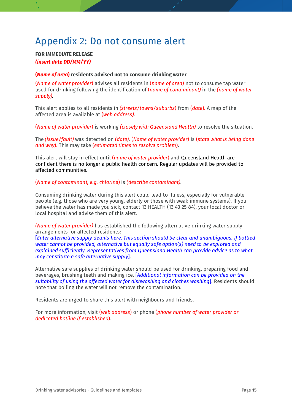### <span id="page-14-0"></span>Appendix 2: Do not consume alert

#### **FOR IMMEDIATE RELEASE** *(insert date DD/MM/YY)*

#### **(***Name of area***) residents advised not to consume drinking water**

(*Name of water provider*) advises all residents in (*name of area*) not to consume tap water used for drinking following the identification of (*name of contaminant)* in the *(name of water supply).*

This alert applies to all residents in *(streets/towns/suburbs*) from (*date*). A map of the affected area is available at (*web address).*

(*Name of water provider*) is working *(closely with Queensland Health)* to resolve the situation.

The *(issue/fault)* was detected on *(date).* (*Name of water provider*) is (*state what is being done and why*). This may take (*estimated times to resolve problem*).

This alert will stay in effect until (*name of water provider*) and Queensland Health are confident there is no longer a public health concern. Regular updates will be provided to affected communities.

#### (*Name of contaminant, e.g. chlorine*) is *(describe contaminant)*.

Consuming drinking water during this alert could lead to illness, especially for vulnerable people (e.g. those who are very young, elderly or those with weak immune systems). If you believe the water has made you sick, contact 13 HEALTH (13 43 25 84), your local doctor or local hospital and advise them of this alert.

*(Name of water provider)* has established the following alternative drinking water supply arrangements for affected residents:

[*Enter alternative supply details here. This section should be clear and unambiguous. If bottled water cannot be provided, alternative but equally safe option(s) need to be explored and explained sufficiently. Representatives from Queensland Health can provide advice as to what may constitute a safe alternative supply*].

Alternative safe supplies of drinking water should be used for drinking, preparing food and beverages, brushing teeth and making ice. [*Additional information can be provided on the suitability of using the affected water for dishwashing and clothes washing*]. Residents should note that boiling the water will not remove the contamination.

Residents are urged to share this alert with neighbours and friends.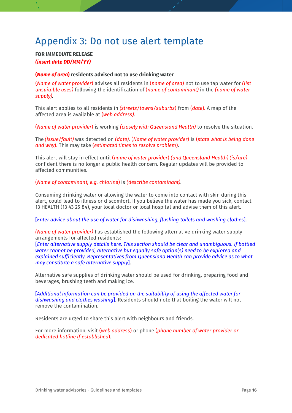### <span id="page-15-0"></span>Appendix 3: Do not use alert template

#### **FOR IMMEDIATE RELEASE** *(insert date DD/MM/YY)*

#### **(***Name of area***) residents advised not to use drinking water**

(*Name of water provider*) advises all residents in (*name of area*) not to use tap water for *(list unsuitable uses)* following the identification of (*name of contaminant)* in the *(name of water supply).*

This alert applies to all residents in *(streets/towns/suburbs*) from (*date*). A map of the affected area is available at (*web address).*

(*Name of water provider*) is working *(closely with Queensland Health)* to resolve the situation.

The *(issue/fault)* was detected on *(date).* (*Name of water provider*) is (*state what is being done and why*). This may take (*estimated times to resolve problem*).

This alert will stay in effect until (*name of water provider*) *(and Queensland Health) (is/are)* confident there is no longer a public health concern. Regular updates will be provided to affected communities.

(*Name of contaminant, e.g. chlorine*) is *(describe contaminant)*.

Consuming drinking water or allowing the water to come into contact with skin during this alert, could lead to illness or discomfort. If you believe the water has made you sick, contact 13 HEALTH (13 43 25 84), your local doctor or local hospital and advise them of this alert.

[*Enter advice about the use of water for dishwashing, flushing toilets and washing clothes*].

*(Name of water provider)* has established the following alternative drinking water supply arrangements for affected residents:

[*Enter alternative supply details here. This section should be clear and unambiguous. If bottled water cannot be provided, alternative but equally safe option(s) need to be explored and explained sufficiently. Representatives from Queensland Health can provide advice as to what may constitute a safe alternative supply*].

Alternative safe supplies of drinking water should be used for drinking, preparing food and beverages, brushing teeth and making ice.

[*Additional information can be provided on the suitability of using the affected water for dishwashing and clothes washing*]. Residents should note that boiling the water will not remove the contamination.

Residents are urged to share this alert with neighbours and friends.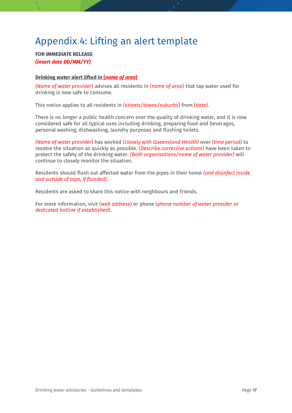### <span id="page-16-0"></span>Appendix 4: Lifting an alert template

#### **FOR IMMEDIATE RELEASE** *(insert date DD/MM/YY)*

#### **Drinking water alert lifted in (***name of area***)**

(*Name of water provider*) advises all residents in (*name of area*) that tap water used for drinking is now safe to consume*.*

This notice applies to all residents in *(streets/towns/suburbs*) from (*date*).

There is no longer a public health concern over the quality of drinking water, and it is now considered safe for all typical uses including drinking, preparing food and beverages, personal washing, dishwashing, laundry purposes and flushing toilets.

(*Name of water provider*) has worked *(closely with Queensland Health)* over *(time period)* to resolve the situation as quickly as possible. (*Describe corrective actions*) have been taken to protect the safety of the drinking water. *(Both organisations/name of water provider)* will continue to closely monitor the situation.

Residents should flush out affected water from the pipes in their home *(and disinfect inside and outside of taps, if flooded).*

Residents are asked to share this notice with neighbours and friends.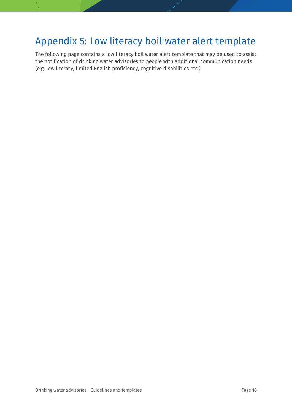### <span id="page-17-0"></span>Appendix 5: Low literacy boil water alert template

The following page contains a low literacy boil water alert template that may be used to assist the notification of drinking water advisories to people with additional communication needs (e.g. low literacy, limited English proficiency, cognitive disabilities etc.)

Drinking water advisories - Guidelines and templates **Page 18** Page 18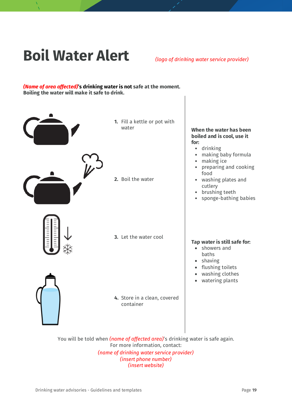## **Boil Water Alert** *(logo of drinking water service provider)*

#### *(Name of area affected)***'s drinking water is not safe at the moment. Boiling the water will make it safe to drink.**



**1.** Fill a kettle or pot with

**2.** Boil the water

#### water **When the water has been boiled and is cool, use it for:**

- drinking
- making baby formula
- making ice
- preparing and cooking food
- washing plates and cutlery
- brushing teeth
- sponge-bathing babies

**3.** Let the water cool



**4.** Store in a clean, covered container

#### **Tap water is still safe for:**

- showers and baths
- shaving
- flushing toilets
- washing clothes
- watering plants

You will be told when *(name of affected area)*'s drinking water is safe again. For more information, contact: *(name of drinking water service provider) (insert phone number) (insert website)*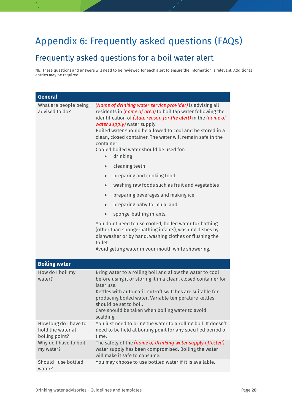### <span id="page-19-0"></span>Appendix 6: Frequently asked questions (FAQs)

### <span id="page-19-1"></span>Frequently asked questions for a boil water alert

NB. These questions and answers will need to be reviewed for each alert to ensure the information is relevant. Additional entries may be required.

| <b>General</b>                                               |                                                                                                                                                                                                                                                                                                                                                                                                                                                          |
|--------------------------------------------------------------|----------------------------------------------------------------------------------------------------------------------------------------------------------------------------------------------------------------------------------------------------------------------------------------------------------------------------------------------------------------------------------------------------------------------------------------------------------|
| What are people being<br>advised to do?                      | (Name of drinking water service provider) is advising all<br>residents in (name of area) to boil tap water following the<br>identification of (state reason for the alert) in the (name of<br>water supply) water supply.<br>Boiled water should be allowed to cool and be stored in a<br>clean, closed container. The water will remain safe in the<br>container.<br>Cooled boiled water should be used for:<br>drinking<br>cleaning teeth<br>$\bullet$ |
|                                                              | preparing and cooking food<br>$\bullet$                                                                                                                                                                                                                                                                                                                                                                                                                  |
|                                                              | washing raw foods such as fruit and vegetables<br>$\bullet$                                                                                                                                                                                                                                                                                                                                                                                              |
|                                                              | preparing beverages and making ice<br>$\bullet$                                                                                                                                                                                                                                                                                                                                                                                                          |
|                                                              | preparing baby formula, and<br>$\bullet$                                                                                                                                                                                                                                                                                                                                                                                                                 |
|                                                              | sponge-bathing infants.                                                                                                                                                                                                                                                                                                                                                                                                                                  |
|                                                              | You don't need to use cooled, boiled water for bathing<br>(other than sponge-bathing infants), washing dishes by<br>dishwasher or by hand, washing clothes or flushing the<br>toilet.<br>Avoid getting water in your mouth while showering.                                                                                                                                                                                                              |
| <b>Boiling water</b>                                         |                                                                                                                                                                                                                                                                                                                                                                                                                                                          |
| How do I boil my<br>water?                                   | Bring water to a rolling boil and allow the water to cool<br>before using it or storing it in a clean, closed container for<br>later use.<br>Kettles with automatic cut-off switches are suitable for<br>producing boiled water. Variable temperature kettles<br>should be set to boil.<br>Care should be taken when boiling water to avoid<br>scalding.                                                                                                 |
| How long do I have to<br>hold the water at<br>boiling point? | You just need to bring the water to a rolling boil. It doesn't<br>need to be held at boiling point for any specified period of<br>time.                                                                                                                                                                                                                                                                                                                  |
| Why do I have to boil<br>my water?                           | The safety of the (name of drinking water supply affected)<br>water supply has been compromised. Boiling the water<br>will make it safe to consume.                                                                                                                                                                                                                                                                                                      |
| Should I use bottled<br>water?                               | You may choose to use bottled water if it is available.                                                                                                                                                                                                                                                                                                                                                                                                  |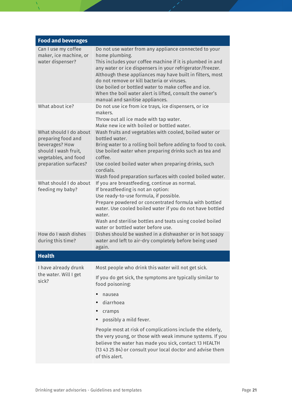| <b>Food and beverages</b>                                                                                                               |                                                                                                                                                                                                                                                                                                                                                                                                                                                                    |
|-----------------------------------------------------------------------------------------------------------------------------------------|--------------------------------------------------------------------------------------------------------------------------------------------------------------------------------------------------------------------------------------------------------------------------------------------------------------------------------------------------------------------------------------------------------------------------------------------------------------------|
| Can I use my coffee<br>maker, ice machine, or<br>water dispenser?                                                                       | Do not use water from any appliance connected to your<br>home plumbing.<br>This includes your coffee machine if it is plumbed in and<br>any water or ice dispensers in your refrigerator/freezer.<br>Although these appliances may have built in filters, most<br>do not remove or kill bacteria or viruses.<br>Use boiled or bottled water to make coffee and ice.<br>When the boil water alert is lifted, consult the owner's<br>manual and sanitise appliances. |
| What about ice?                                                                                                                         | Do not use ice from ice trays, ice dispensers, or ice<br>makers.<br>Throw out all ice made with tap water.<br>Make new ice with boiled or bottled water.                                                                                                                                                                                                                                                                                                           |
| What should I do about<br>preparing food and<br>beverages? How<br>should I wash fruit,<br>vegetables, and food<br>preparation surfaces? | Wash fruits and vegetables with cooled, boiled water or<br>bottled water.<br>Bring water to a rolling boil before adding to food to cook.<br>Use boiled water when preparing drinks such as tea and<br>coffee.<br>Use cooled boiled water when preparing drinks, such<br>cordials.<br>Wash food preparation surfaces with cooled boiled water.                                                                                                                     |
| What should I do about<br>feeding my baby?                                                                                              | If you are breastfeeding, continue as normal.<br>If breastfeeding is not an option:<br>Use ready-to-use formula, if possible.<br>Prepare powdered or concentrated formula with bottled<br>water. Use cooled boiled water if you do not have bottled<br>water.<br>Wash and sterilise bottles and teats using cooled boiled<br>water or bottled water before use.                                                                                                    |
| How do I wash dishes<br>during this time?                                                                                               | Dishes should be washed in a dishwasher or in hot soapy<br>water and left to air-dry completely before being used<br>again.                                                                                                                                                                                                                                                                                                                                        |
| <b>Health</b>                                                                                                                           |                                                                                                                                                                                                                                                                                                                                                                                                                                                                    |
| I have already drunk<br>the water. Will I get<br>sick?                                                                                  | Most people who drink this water will not get sick.<br>If you do get sick, the symptoms are typically similar to<br>food poisoning:<br>nausea<br>diarrhoea                                                                                                                                                                                                                                                                                                         |
|                                                                                                                                         | cramps<br>possibly a mild fever.                                                                                                                                                                                                                                                                                                                                                                                                                                   |
|                                                                                                                                         | People most at risk of complications include the elderly,<br>the very young, or those with weak immune systems. If you<br>believe the water has made you sick, contact 13 HEALTH<br>(13 43 25 84) or consult your local doctor and advise them<br>of this alert.                                                                                                                                                                                                   |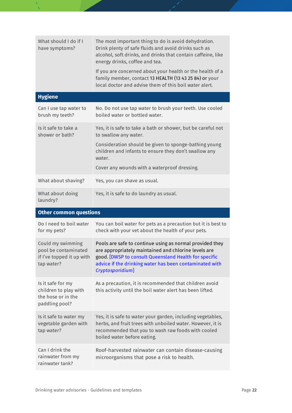| What should I do if I<br>have symptoms?                                              | The most important thing to do is avoid dehydration.<br>Drink plenty of safe fluids and avoid drinks such as<br>alcohol, soft drinks, and drinks that contain caffeine, like<br>energy drinks, coffee and tea.                                          |
|--------------------------------------------------------------------------------------|---------------------------------------------------------------------------------------------------------------------------------------------------------------------------------------------------------------------------------------------------------|
|                                                                                      | If you are concerned about your health or the health of a<br>family member, contact 13 HEALTH (13 43 25 84) or your<br>local doctor and advise them of this boil water alert.                                                                           |
| <b>Hygiene</b>                                                                       |                                                                                                                                                                                                                                                         |
| Can I use tap water to<br>brush my teeth?                                            | No. Do not use tap water to brush your teeth. Use cooled<br>boiled water or bottled water.                                                                                                                                                              |
| Is it safe to take a<br>shower or bath?                                              | Yes, it is safe to take a bath or shower, but be careful not<br>to swallow any water.                                                                                                                                                                   |
|                                                                                      | Consideration should be given to sponge-bathing young<br>children and infants to ensure they don't swallow any<br>water.                                                                                                                                |
|                                                                                      | Cover any wounds with a waterproof dressing.                                                                                                                                                                                                            |
| What about shaving?                                                                  | Yes, you can shave as usual.                                                                                                                                                                                                                            |
| What about doing<br>laundry?                                                         | Yes, it is safe to do laundry as usual.                                                                                                                                                                                                                 |
| <b>Other common questions</b>                                                        |                                                                                                                                                                                                                                                         |
| Do I need to boil water<br>for my pets?                                              | You can boil water for pets as a precaution but it is best to<br>check with your vet about the health of your pets.                                                                                                                                     |
| Could my swimming<br>pool be contaminated<br>if I've topped it up with<br>tap water? | Pools are safe to continue using as normal provided they<br>are appropriately maintained and chlorine levels are<br>good. DWSP to consult Queensland Health for specific<br>advice if the drinking water has been contaminated with<br>Cryptosporidium] |
| Is it safe for my<br>children to play with<br>the hose or in the<br>paddling pool?   | As a precaution, it is recommended that children avoid<br>this activity until the boil water alert has been lifted.                                                                                                                                     |
| Is it safe to water my<br>vegetable garden with<br>tap water?                        | Yes, it is safe to water your garden, including vegetables,<br>herbs, and fruit trees with unboiled water. However, it is<br>recommended that you to wash raw foods with cooled<br>boiled water before eating.                                          |
| Can I drink the<br>rainwater from my                                                 | Roof-harvested rainwater can contain disease-causing<br>microorganisms that pose a risk to health.                                                                                                                                                      |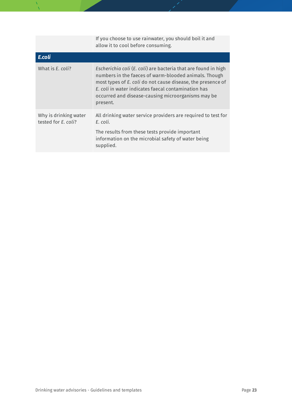|                                              | If you choose to use rainwater, you should boil it and<br>allow it to cool before consuming.                                                                                                                                                                                                                    |
|----------------------------------------------|-----------------------------------------------------------------------------------------------------------------------------------------------------------------------------------------------------------------------------------------------------------------------------------------------------------------|
| E.coli                                       |                                                                                                                                                                                                                                                                                                                 |
| What is E. coli?                             | Escherichia coli (E. coli) are bacteria that are found in high<br>numbers in the faeces of warm-blooded animals. Though<br>most types of E. coli do not cause disease, the presence of<br>E. coli in water indicates faecal contamination has<br>occurred and disease-causing microorganisms may be<br>present. |
| Why is drinking water<br>tested for E. coli? | All drinking water service providers are required to test for<br>E. coli.<br>The results from these tests provide important<br>information on the microbial safety of water being<br>supplied.                                                                                                                  |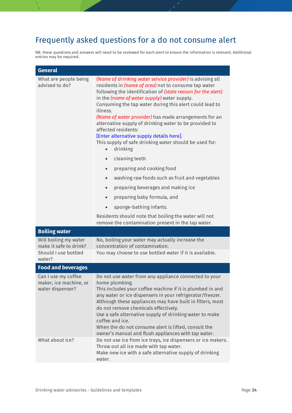### <span id="page-23-0"></span>Frequently asked questions for a do not consume alert

NB. these questions and answers will need to be reviewed for each alert to ensure the information is relevant. Additional entries may be required.

| <b>General</b>                                                                    |                                                                                                                                                                                                                                                                                                                                                                                                                                                                                                                                                                                                                                                                                                                                                                                                                                                                                                                                                                                 |
|-----------------------------------------------------------------------------------|---------------------------------------------------------------------------------------------------------------------------------------------------------------------------------------------------------------------------------------------------------------------------------------------------------------------------------------------------------------------------------------------------------------------------------------------------------------------------------------------------------------------------------------------------------------------------------------------------------------------------------------------------------------------------------------------------------------------------------------------------------------------------------------------------------------------------------------------------------------------------------------------------------------------------------------------------------------------------------|
| What are people being<br>advised to do?                                           | (Name of drinking water service provider) is advising all<br>residents in (name of area) not to consume tap water<br>following the identification of (state reason for the alert)<br>in the (name of water supply) water supply.<br>Consuming the tap water during this alert could lead to<br>illness.<br>(Name of water provider) has made arrangements for an<br>alternative supply of drinking water to be provided to<br>affected residents:<br>[Enter alternative supply details here].<br>This supply of safe drinking water should be used for:<br>drinking<br>$\bullet$<br>cleaning teeth<br>$\bullet$<br>preparing and cooking food<br>$\bullet$<br>washing raw foods such as fruit and vegetables<br>$\bullet$<br>preparing beverages and making ice<br>$\bullet$<br>preparing baby formula, and<br>$\bullet$<br>sponge-bathing infants.<br>$\bullet$<br>Residents should note that boiling the water will not<br>remove the contamination present in the tap water. |
| <b>Boiling water</b>                                                              |                                                                                                                                                                                                                                                                                                                                                                                                                                                                                                                                                                                                                                                                                                                                                                                                                                                                                                                                                                                 |
| Will boiling my water<br>make it safe to drink?<br>Should I use bottled<br>water? | No, boiling your water may actually increase the<br>concentration of contamination.<br>You may choose to use bottled water if it is available.                                                                                                                                                                                                                                                                                                                                                                                                                                                                                                                                                                                                                                                                                                                                                                                                                                  |
| <b>Food and beverages</b>                                                         |                                                                                                                                                                                                                                                                                                                                                                                                                                                                                                                                                                                                                                                                                                                                                                                                                                                                                                                                                                                 |
| Can I use my coffee<br>maker, ice machine, or<br>water dispenser?                 | Do not use water from any appliance connected to your<br>home plumbing.<br>This includes your coffee machine if it is plumbed in and<br>any water or ice dispensers in your refrigerator/freezer.<br>Although these appliances may have built in filters, most<br>do not remove chemicals effectively.<br>Use a safe alternative supply of drinking water to make<br>coffee and ice.<br>When the do not consume alert is lifted, consult the<br>owner's manual and flush appliances with tap water.                                                                                                                                                                                                                                                                                                                                                                                                                                                                             |
| What about ice?                                                                   | Do not use ice from ice trays, ice dispensers or ice makers.<br>Throw out all ice made with tap water.<br>Make new ice with a safe alternative supply of drinking<br>water.                                                                                                                                                                                                                                                                                                                                                                                                                                                                                                                                                                                                                                                                                                                                                                                                     |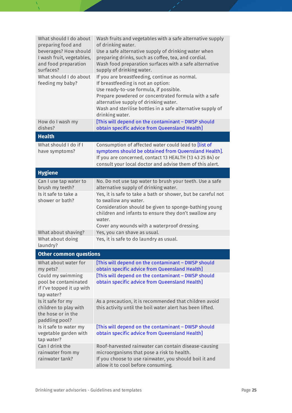| What should I do about<br>preparing food and<br>beverages? How should<br>I wash fruit, vegetables,<br>and food preparation<br>surfaces? | Wash fruits and vegetables with a safe alternative supply<br>of drinking water.<br>Use a safe alternative supply of drinking water when<br>preparing drinks, such as coffee, tea, and cordial.<br>Wash food preparation surfaces with a safe alternative<br>supply of drinking water.                           |
|-----------------------------------------------------------------------------------------------------------------------------------------|-----------------------------------------------------------------------------------------------------------------------------------------------------------------------------------------------------------------------------------------------------------------------------------------------------------------|
| What should I do about<br>feeding my baby?                                                                                              | If you are breastfeeding, continue as normal.<br>If breastfeeding is not an option:<br>Use ready-to-use formula, if possible.<br>Prepare powdered or concentrated formula with a safe<br>alternative supply of drinking water.<br>Wash and sterilise bottles in a safe alternative supply of<br>drinking water. |
| How do I wash my                                                                                                                        | [This will depend on the contaminant - DWSP should                                                                                                                                                                                                                                                              |
| dishes?                                                                                                                                 | obtain specific advice from Queensland Health]                                                                                                                                                                                                                                                                  |
| <b>Health</b>                                                                                                                           |                                                                                                                                                                                                                                                                                                                 |
| What should I do if I<br>have symptoms?                                                                                                 | Consumption of affected water could lead to <i>[list of</i><br>symptoms should be obtained from Queensland Health].<br>If you are concerned, contact 13 HEALTH (13 43 25 84) or<br>consult your local doctor and advise them of this alert.                                                                     |
| <b>Hygiene</b>                                                                                                                          |                                                                                                                                                                                                                                                                                                                 |
| Can I use tap water to<br>brush my teeth?                                                                                               | No. Do not use tap water to brush your teeth. Use a safe<br>alternative supply of drinking water.                                                                                                                                                                                                               |
| Is it safe to take a<br>shower or bath?                                                                                                 | Yes, it is safe to take a bath or shower, but be careful not<br>to swallow any water.<br>Consideration should be given to sponge-bathing young<br>children and infants to ensure they don't swallow any<br>water.                                                                                               |
| What about shaving?                                                                                                                     | Cover any wounds with a waterproof dressing.<br>Yes, you can shave as usual.                                                                                                                                                                                                                                    |
| What about doing<br>laundry?                                                                                                            | Yes, it is safe to do laundry as usual.                                                                                                                                                                                                                                                                         |
| <b>Other common questions</b>                                                                                                           |                                                                                                                                                                                                                                                                                                                 |
| What about water for<br>my pets?                                                                                                        | [This will depend on the contaminant - DWSP should<br>obtain specific advice from Queensland Health]                                                                                                                                                                                                            |
| Could my swimming<br>pool be contaminated<br>if I've topped it up with<br>tap water?                                                    | [This will depend on the contaminant - DWSP should<br>obtain specific advice from Queensland Health]                                                                                                                                                                                                            |
| Is it safe for my<br>children to play with<br>the hose or in the<br>paddling pool?                                                      | As a precaution, it is recommended that children avoid<br>this activity until the boil water alert has been lifted.                                                                                                                                                                                             |
| Is it safe to water my<br>vegetable garden with<br>tap water?                                                                           | [This will depend on the contaminant – DWSP should<br>obtain specific advice from Queensland Health]                                                                                                                                                                                                            |
| Can I drink the<br>rainwater from my<br>rainwater tank?                                                                                 | Roof-harvested rainwater can contain disease-causing<br>microorganisms that pose a risk to health.<br>If you choose to use rainwater, you should boil it and<br>allow it to cool before consuming.                                                                                                              |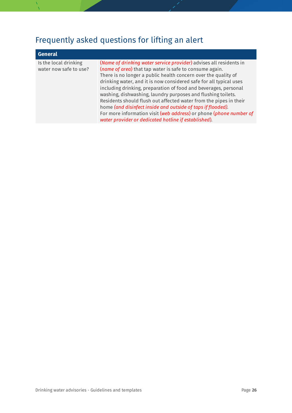### <span id="page-25-0"></span>Frequently asked questions for lifting an alert

| <b>General</b>                                  |                                                                                                                                                                                                                                                                                                                                                                                                                                                                                                                                                                                                                                                                            |
|-------------------------------------------------|----------------------------------------------------------------------------------------------------------------------------------------------------------------------------------------------------------------------------------------------------------------------------------------------------------------------------------------------------------------------------------------------------------------------------------------------------------------------------------------------------------------------------------------------------------------------------------------------------------------------------------------------------------------------------|
| Is the local drinking<br>water now safe to use? | (Name of drinking water service provider) advises all residents in<br>(name of area) that tap water is safe to consume again.<br>There is no longer a public health concern over the quality of<br>drinking water, and it is now considered safe for all typical uses<br>including drinking, preparation of food and beverages, personal<br>washing, dishwashing, laundry purposes and flushing toilets.<br>Residents should flush out affected water from the pipes in their<br>home (and disinfect inside and outside of taps if flooded).<br>For more information visit (web address) or phone (phone number of<br>water provider or dedicated hotline if established). |